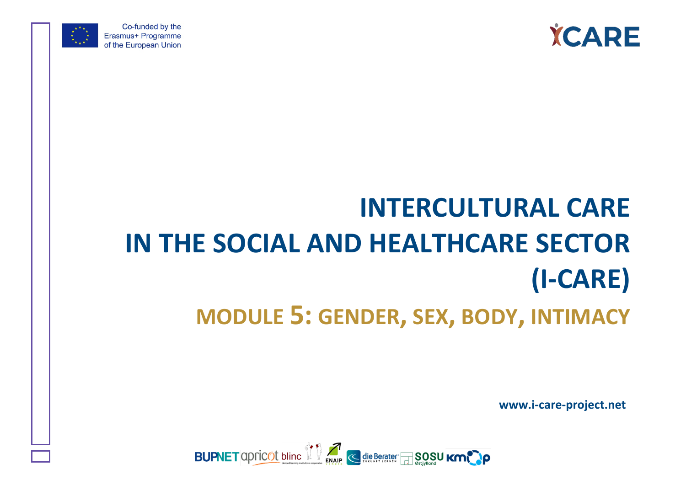



Co-funded by the Erasmus+ Programme of the European Union

# **INTERCULTURAL CARE IN THE SOCIAL AND HEALTHCARE SECTOR (I-CARE) MODULE 5: GENDER, SEX, BODY, INTIMACY**

**www.i-care-project.net**

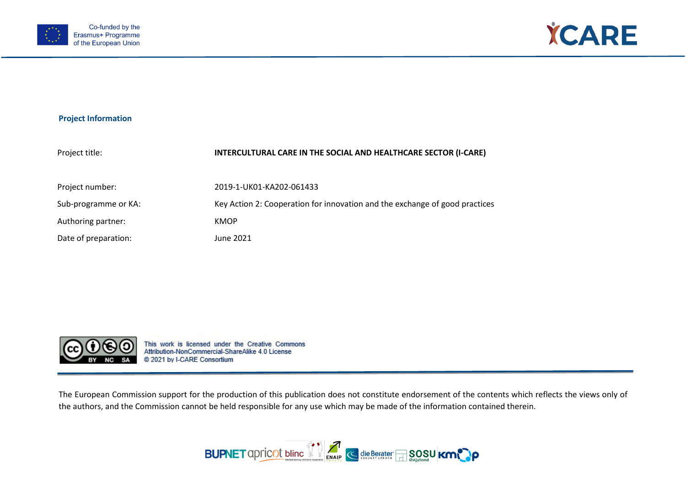



#### **Project Information**

| INTERCULTURAL CARE IN THE SOCIAL AND HEALTHCARE SECTOR (I-CARE)             |
|-----------------------------------------------------------------------------|
| 2019-1-UK01-KA202-061433                                                    |
| Key Action 2: Cooperation for innovation and the exchange of good practices |
| <b>KMOP</b>                                                                 |
| June 2021                                                                   |
|                                                                             |



This work is licensed under the Creative Commons Attribution-NonCommercial-ShareAlike 4.0 License @ 2021 by I-CARE Consortium

The European Commission support for the production of this publication does not constitute endorsement of the contents which reflects the views only of the authors, and the Commission cannot be held responsible for any use which may be made of the information contained therein.

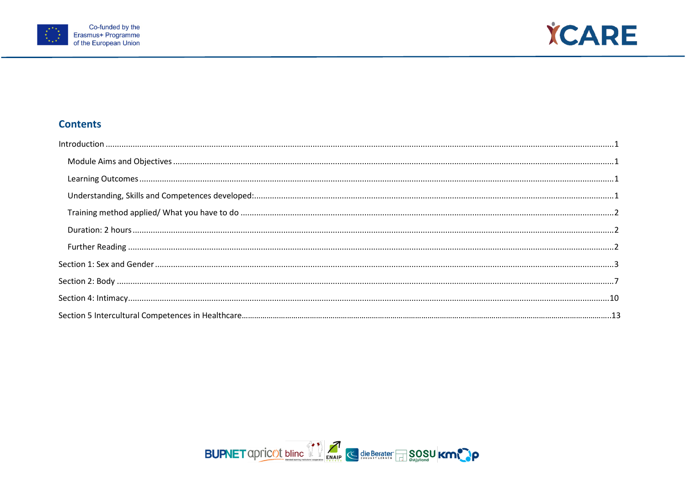



# **Contents**

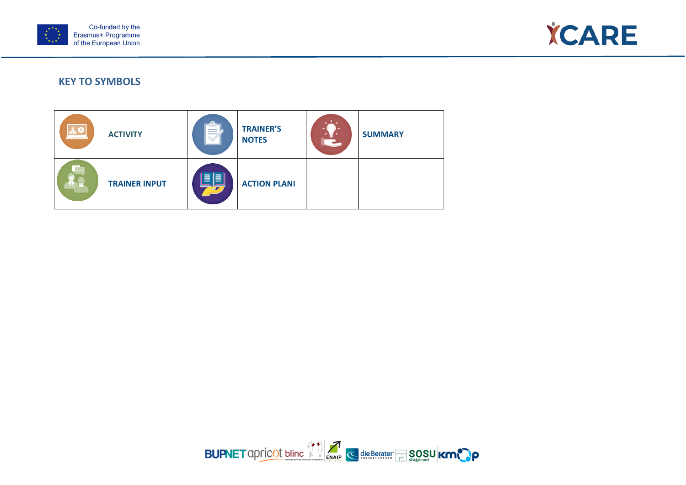



# **KEY TO SYMBOLS**



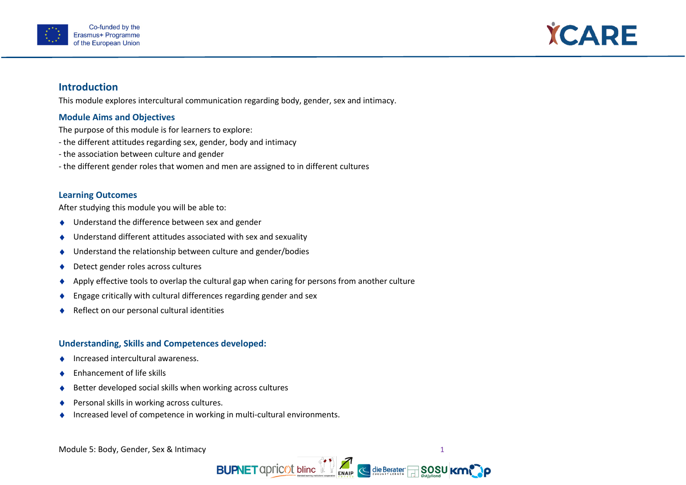



# <span id="page-4-0"></span>**Introduction**

This module explores intercultural communication regarding body, gender, sex and intimacy.

#### <span id="page-4-1"></span>**Module Aims and Objectives**

The purpose of this module is for learners to explore:

- the different attitudes regarding sex, gender, body and intimacy
- the association between culture and gender
- the different gender roles that women and men are assigned to in different cultures

#### <span id="page-4-2"></span>**Learning Outcomes**

After studying this module you will be able to:

- ♦ Understand the difference between sex and gender
- ♦ Understand different attitudes associated with sex and sexuality
- ♦ Understand the relationship between culture and gender/bodies
- ♦ Detect gender roles across cultures
- ♦ Apply effective tools to overlap the cultural gap when caring for persons from another culture
- ♦ Engage critically with cultural differences regarding gender and sex
- Reflect on our personal cultural identities

#### <span id="page-4-3"></span>**Understanding, Skills and Competences developed:**

- ♦ Increased intercultural awareness.
- ♦ Enhancement of life skills
- ♦ Better developed social skills when working across cultures
- ♦ Personal skills in working across cultures.
- Increased level of competence in working in multi-cultural environments.

Module 5: Body, Gender, Sex & Intimacy 1 and 1 and 1 and 1 and 1 and 1 and 1 and 1 and 1 and 1 and 1 and 1 and 1 and 1 and 1 and 1 and 1 and 1 and 1 and 1 and 1 and 1 and 1 and 1 and 1 and 1 and 1 and 1 and 1 and 1 and 1 a

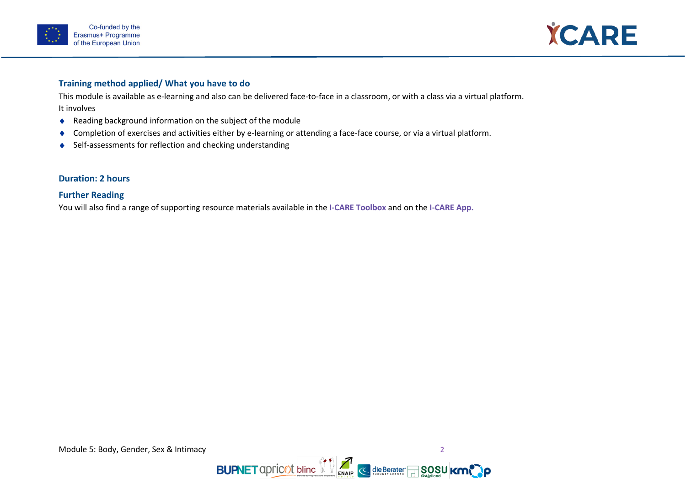



#### <span id="page-5-0"></span>**Training method applied/ What you have to do**

This module is available as e-learning and also can be delivered face-to-face in a classroom, or with a class via a virtual platform. It involves

- ♦ Reading background information on the subject of the module
- ♦ Completion of exercises and activities either by e-learning or attending a face-face course, or via a virtual platform.
- ♦ Self-assessments for reflection and checking understanding

### <span id="page-5-1"></span>**Duration: 2 hours**

## <span id="page-5-2"></span>**Further Reading**

You will also find a range of supporting resource materials available in the **I-CARE Toolbox** and on the **I-CARE App.**

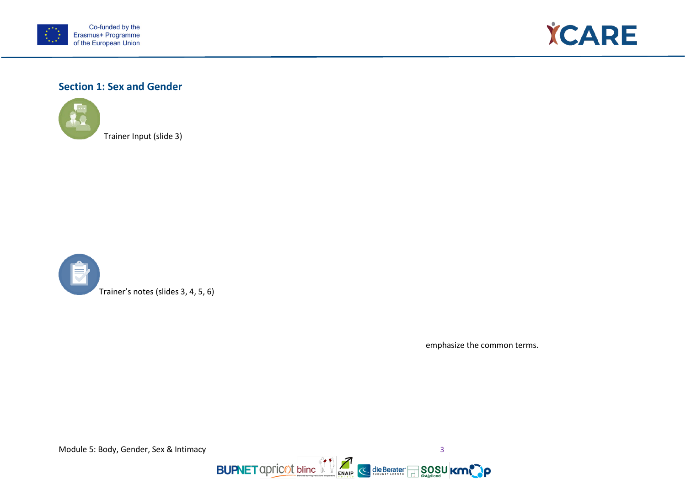



# <span id="page-6-0"></span>**Section 1: Sex and Gender**



Trainer Input (slide 3)



emphasize the common terms.

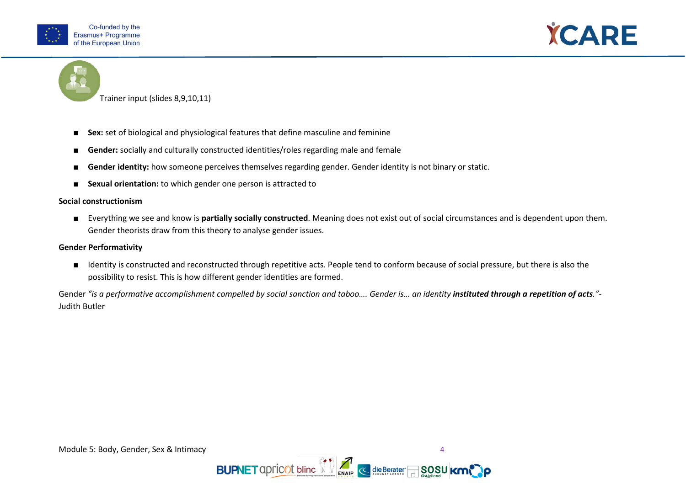





Trainer input (slides 8,9,10,11)

- Sex: set of biological and physiological features that define masculine and feminine
- **Gender:** socially and culturally constructed identities/roles regarding male and female
- **Gender identity:** how someone perceives themselves regarding gender. Gender identity is not binary or static.
- **Sexual orientation:** to which gender one person is attracted to

#### **Social constructionism**

■ Everything we see and know is **partially socially constructed**. Meaning does not exist out of social circumstances and is dependent upon them. Gender theorists draw from this theory to analyse gender issues.

#### **Gender Performativity**

■ Identity is constructed and reconstructed through repetitive acts. People tend to conform because of social pressure, but there is also the possibility to resist. This is how different gender identities are formed.

Gender "is a performative accomplishment compelled by social sanction and taboo.... Gender is... an identity **instituted through a repetition of acts**."-Judith Butler

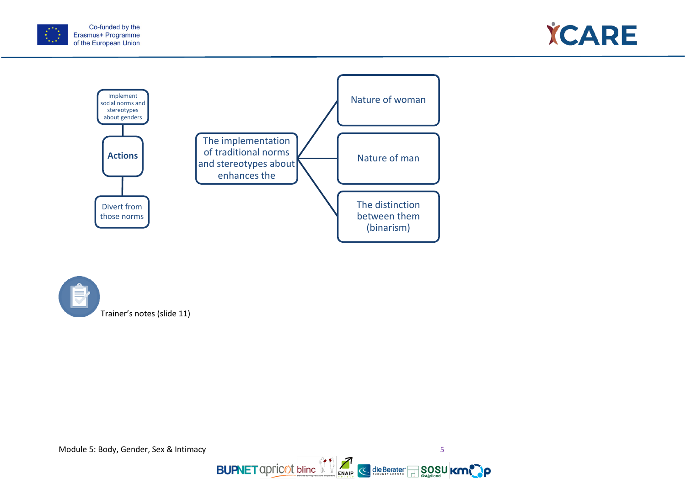







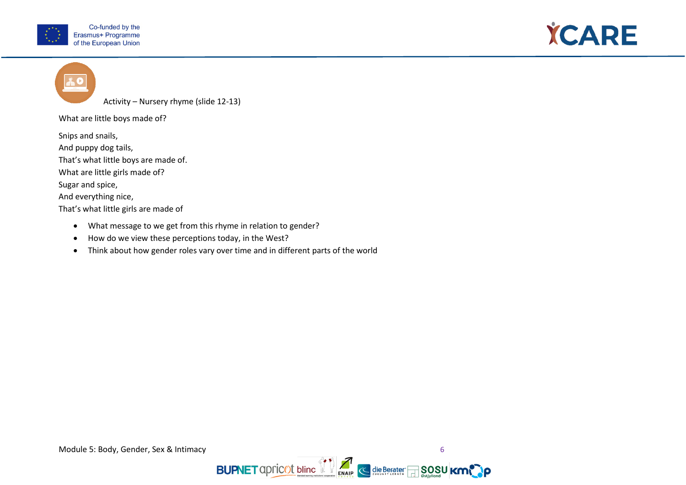



Activity – Nursery rhyme (slide 12-13)

What are little boys made of?

Snips and snails,

And puppy dog tails,

That's what little boys are made of.

What are little girls made of?

Sugar and spice,

And everything nice,

That's what little girls are made of

- What message to we get from this rhyme in relation to gender?
- How do we view these perceptions today, in the West?
- Think about how gender roles vary over time and in different parts of the world

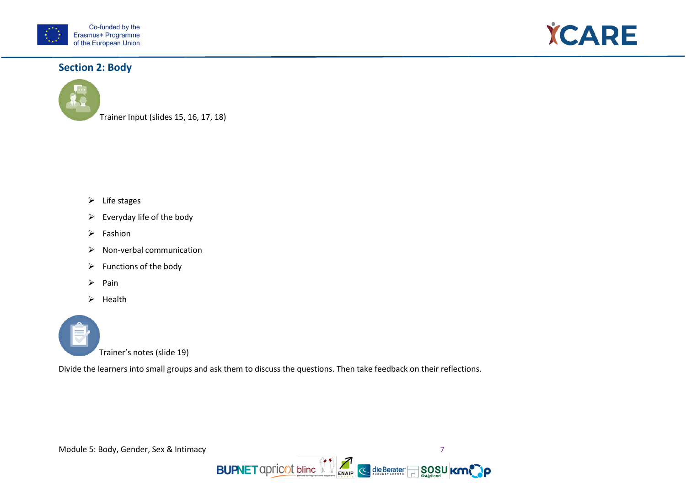



# <span id="page-10-0"></span>**Section 2: Body**



Trainer Input (slides 15, 16, 17, 18)

- $\triangleright$  Life stages
- $\triangleright$  Everyday life of the body
- $\triangleright$  Fashion
- $\triangleright$  Non-verbal communication
- $\triangleright$  Functions of the body
- $\triangleright$  Pain
- $\triangleright$  Health



Divide the learners into small groups and ask them to discuss the questions. Then take feedback on their reflections.



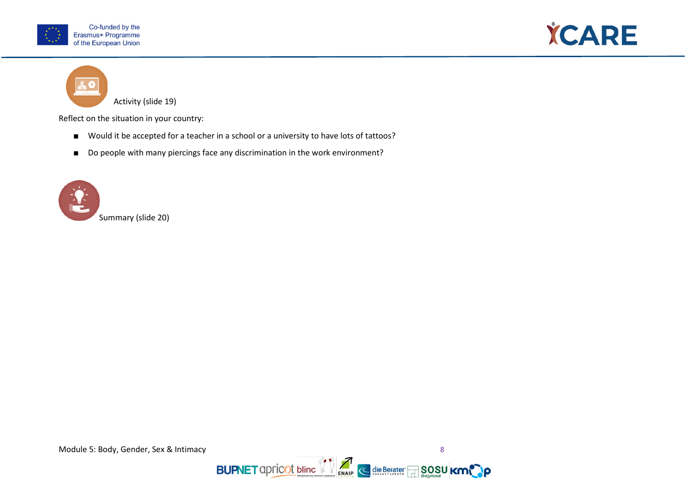



Activity (slide 19)

Reflect on the situation in your country:

- Would it be accepted for a teacher in a school or a university to have lots of tattoos?
- Do people with many piercings face any discrimination in the work environment?





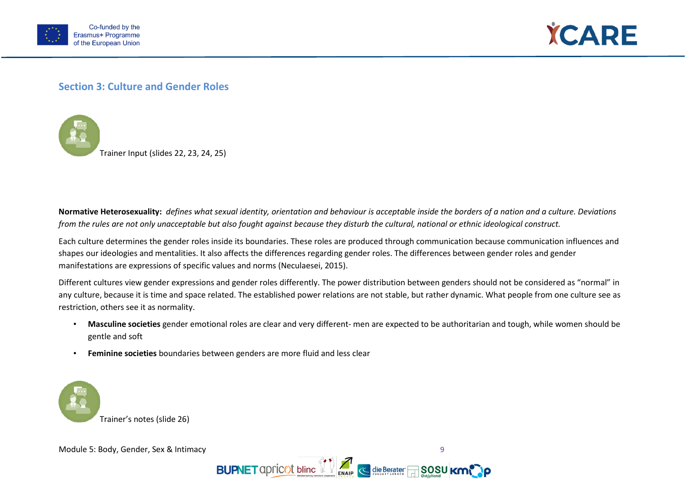



# **Section 3: Culture and Gender Roles**



**Normative Heterosexuality:** *defines what sexual identity, orientation and behaviour is acceptable inside the borders of a nation and a culture. Deviations from the rules are not only unacceptable but also fought against because they disturb the cultural, national or ethnic ideological construct.* 

Each culture determines the gender roles inside its boundaries. These roles are produced through communication because communication influences and shapes our ideologies and mentalities. It also affects the differences regarding gender roles. The differences between gender roles and gender manifestations are expressions of specific values and norms (Neculaesei, 2015).

Different cultures view gender expressions and gender roles differently. The power distribution between genders should not be considered as "normal" in any culture, because it is time and space related. The established power relations are not stable, but rather dynamic. What people from one culture see as restriction, others see it as normality.

- **Masculine societies** gender emotional roles are clear and very different- men are expected to be authoritarian and tough, while women should be gentle and soft
- **Feminine societies** boundaries between genders are more fluid and less clear



Module 5: Body, Gender, Sex & Intimacy 9

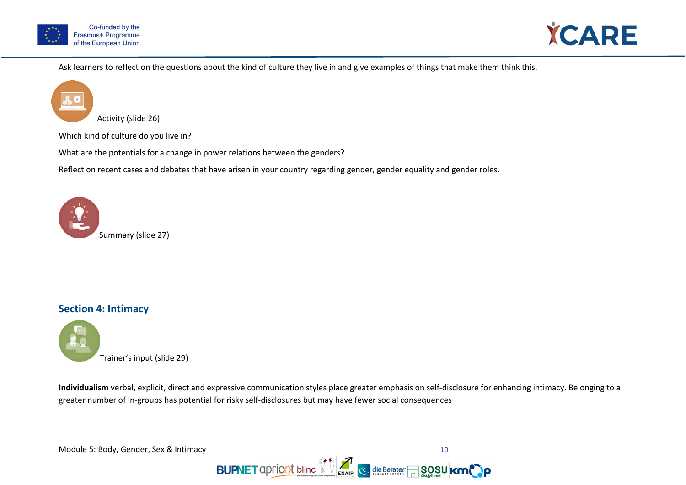



Ask learners to reflect on the questions about the kind of culture they live in and give examples of things that make them think this.



Which kind of culture do you live in?

What are the potentials for a change in power relations between the genders?

Reflect on recent cases and debates that have arisen in your country regarding gender, gender equality and gender roles.



# <span id="page-13-0"></span>**Section 4: Intimacy**



**Individualism** verbal, explicit, direct and expressive communication styles place greater emphasis on self-disclosure for enhancing intimacy. Belonging to a greater number of in-groups has potential for risky self-disclosures but may have fewer social consequences

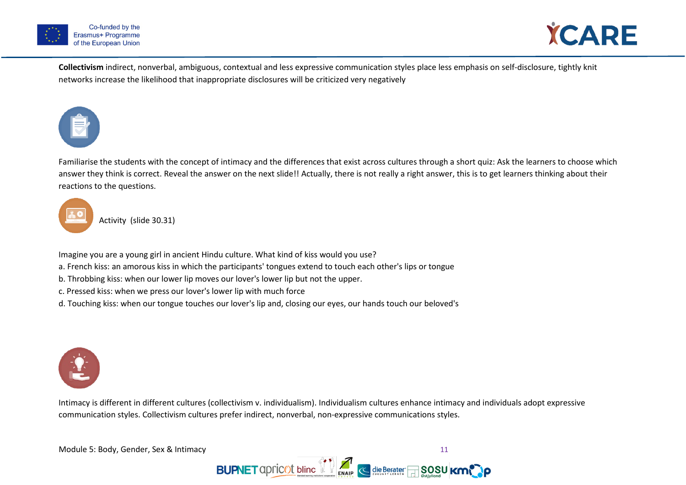



**Collectivism** indirect, nonverbal, ambiguous, contextual and less expressive communication styles place less emphasis on self-disclosure, tightly knit networks increase the likelihood that inappropriate disclosures will be criticized very negatively



Familiarise the students with the concept of intimacy and the differences that exist across cultures through a short quiz: Ask the learners to choose which answer they think is correct. Reveal the answer on the next slide!! Actually, there is not really a right answer, this is to get learners thinking about their reactions to the questions.



Activity (slide 30.31)

Imagine you are a young girl in ancient Hindu culture. What kind of kiss would you use?

- a. French kiss: an amorous kiss in which the participants' tongues extend to touch each other's lips or tongue
- b. Throbbing kiss: when our lower lip moves our lover's lower lip but not the upper.
- c. Pressed kiss: when we press our lover's lower lip with much force
- d. Touching kiss: when our tongue touches our lover's lip and, closing our eyes, our hands touch our beloved's



Intimacy is different in different cultures (collectivism v. individualism). Individualism cultures enhance intimacy and individuals adopt expressive communication styles. Collectivism cultures prefer indirect, nonverbal, non-expressive communications styles.

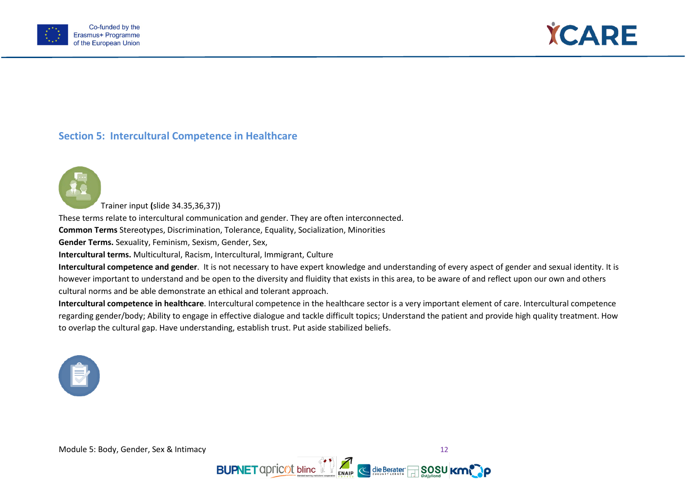



# **Section 5: Intercultural Competence in Healthcare**



Trainer input **(**slide 34.35,36,37))

These terms relate to intercultural communication and gender. They are often interconnected.

**Common Terms** Stereotypes, Discrimination, Tolerance, Equality, Socialization, Minorities

**Gender Terms.** Sexuality, Feminism, Sexism, Gender, Sex,

**Intercultural terms.** Multicultural, Racism, Intercultural, Immigrant, Culture

**Intercultural competence and gender**. It is not necessary to have expert knowledge and understanding of every aspect of gender and sexual identity. It is however important to understand and be open to the diversity and fluidity that exists in this area, to be aware of and reflect upon our own and others cultural norms and be able demonstrate an ethical and tolerant approach.

**Intercultural competence in healthcare**. Intercultural competence in the healthcare sector is a very important element of care. Intercultural competence regarding gender/body; Ability to engage in effective dialogue and tackle difficult topics; Understand the patient and provide high quality treatment. How to overlap the cultural gap. Have understanding, establish trust. Put aside stabilized beliefs.



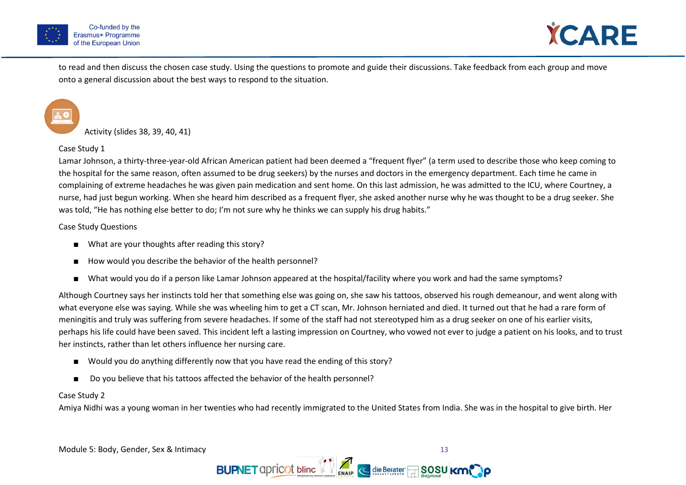



to read and then discuss the chosen case study. Using the questions to promote and guide their discussions. Take feedback from each group and move onto a general discussion about the best ways to respond to the situation.

Activity (slides 38, 39, 40, 41)

Case Study 1

Lamar Johnson, a thirty-three-year-old African American patient had been deemed a "frequent flyer" (a term used to describe those who keep coming to the hospital for the same reason, often assumed to be drug seekers) by the nurses and doctors in the emergency department. Each time he came in complaining of extreme headaches he was given pain medication and sent home. On this last admission, he was admitted to the ICU, where Courtney, a nurse, had just begun working. When she heard him described as a frequent flyer, she asked another nurse why he was thought to be a drug seeker. She was told, "He has nothing else better to do; I'm not sure why he thinks we can supply his drug habits."

Case Study Questions

- What are your thoughts after reading this story?
- How would you describe the behavior of the health personnel?
- What would you do if a person like Lamar Johnson appeared at the hospital/facility where you work and had the same symptoms?

Although Courtney says her instincts told her that something else was going on, she saw his tattoos, observed his rough demeanour, and went along with what everyone else was saying. While she was wheeling him to get a CT scan, Mr. Johnson herniated and died. It turned out that he had a rare form of meningitis and truly was suffering from severe headaches. If some of the staff had not stereotyped him as a drug seeker on one of his earlier visits, perhaps his life could have been saved. This incident left a lasting impression on Courtney, who vowed not ever to judge a patient on his looks, and to trust her instincts, rather than let others influence her nursing care.

- Would you do anything differently now that you have read the ending of this story?
- Do you believe that his tattoos affected the behavior of the health personnel?

#### Case Study 2

Amiya Nidhi was a young woman in her twenties who had recently immigrated to the United States from India. She was in the hospital to give birth. Her

Module 5: Body, Gender, Sex & Intimacy 13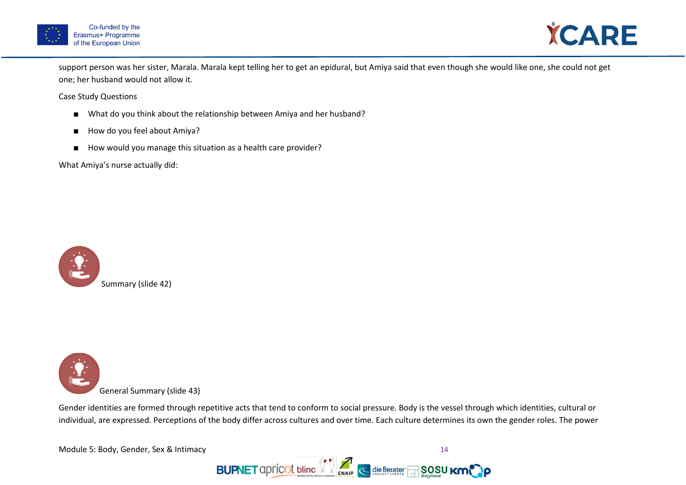



support person was her sister, Marala. Marala kept telling her to get an epidural, but Amiya said that even though she would like one, she could not get one; her husband would not allow it.

Case Study Questions

- What do you think about the relationship between Amiya and her husband?
- How do you feel about Amiya?
- How would you manage this situation as a health care provider?

What Amiya's nurse actually did:





Gender identities are formed through repetitive acts that tend to conform to social pressure. Body is the vessel through which identities, cultural or individual, are expressed. Perceptions of the body differ across cultures and over time. Each culture determines its own the gender roles. The power

Module 5: Body, Gender, Sex & Intimacy 14